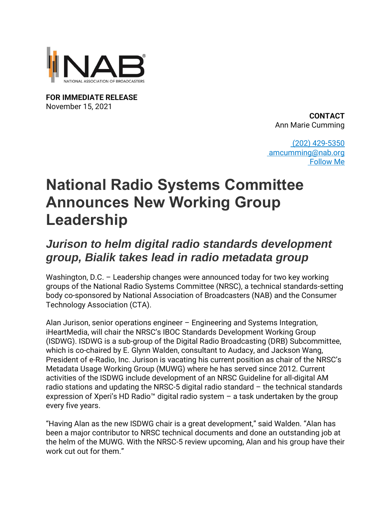

**FOR IMMEDIATE RELEASE** November 15, 2021

**CONTACT** Ann Marie Cumming

[\(202\) 429-5350](tel:2024295350) [amcumming@nab.org](mailto:amcumming@nab.org) [Follow Me](http://twitter.com/#!/AnnMarieCumming)

## **National Radio Systems Committee Announces New Working Group Leadership**

## *Jurison to helm digital radio standards development group, Bialik takes lead in radio metadata group*

Washington, D.C. – Leadership changes were announced today for two key working groups of the National Radio Systems Committee (NRSC), a technical standards-setting body co-sponsored by National Association of Broadcasters (NAB) and the Consumer Technology Association (CTA).

Alan Jurison, senior operations engineer – Engineering and Systems Integration, iHeartMedia, will chair the NRSC's IBOC Standards Development Working Group (ISDWG). ISDWG is a sub-group of the Digital Radio Broadcasting (DRB) Subcommittee, which is co-chaired by E. Glynn Walden, consultant to Audacy, and Jackson Wang, President of e-Radio, Inc. Jurison is vacating his current position as chair of the NRSC's Metadata Usage Working Group (MUWG) where he has served since 2012. Current activities of the ISDWG include development of an NRSC Guideline for all-digital AM radio stations and updating the NRSC-5 digital radio standard – the technical standards expression of Xperi's HD Radio™ digital radio system  $-$  a task undertaken by the group every five years.

"Having Alan as the new ISDWG chair is a great development," said Walden. "Alan has been a major contributor to NRSC technical documents and done an outstanding job at the helm of the MUWG. With the NRSC-5 review upcoming, Alan and his group have their work cut out for them."